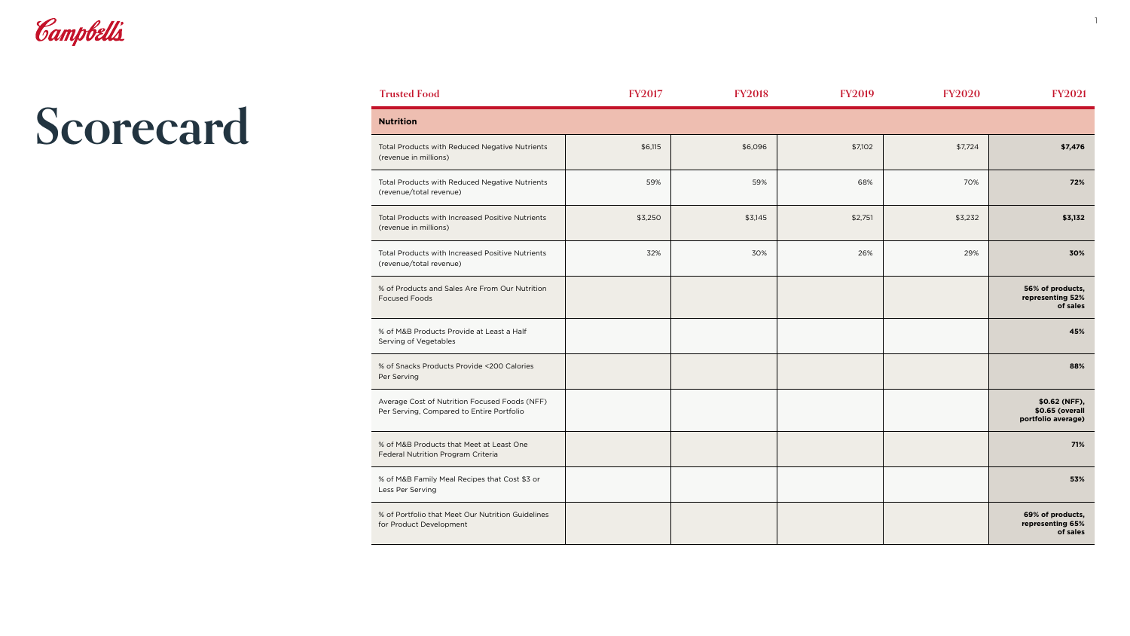

| <b>Trusted Food</b>                                                                        | <b>FY2017</b> | <b>FY2018</b> | <b>FY2019</b> | <b>FY2020</b> | <b>FY2021</b>                                          |
|--------------------------------------------------------------------------------------------|---------------|---------------|---------------|---------------|--------------------------------------------------------|
| Nutrition                                                                                  |               |               |               |               |                                                        |
| Total Products with Reduced Negative Nutrients<br>(revenue in millions)                    | \$6,115       | \$6,096       | \$7,102       | \$7,724       | \$7,476                                                |
| Total Products with Reduced Negative Nutrients<br>(revenue/total revenue)                  | 59%           | 59%           | 68%           | 70%           | 72%                                                    |
| Total Products with Increased Positive Nutrients<br>(revenue in millions)                  | \$3,250       | \$3,145       | \$2,751       | \$3,232       | \$3,132                                                |
| Total Products with Increased Positive Nutrients<br>(revenue/total revenue)                | 32%           | 30%           | 26%           | 29%           | 30%                                                    |
| % of Products and Sales Are From Our Nutrition<br>Focused Foods                            |               |               |               |               | 56% of products,<br>representing 52%<br>of sales       |
| % of M&B Products Provide at Least a Half<br>Serving of Vegetables                         |               |               |               |               | 45%                                                    |
| % of Snacks Products Provide <200 Calories<br>Per Serving                                  |               |               |               |               | 88%                                                    |
| Average Cost of Nutrition Focused Foods (NFF)<br>Per Serving, Compared to Entire Portfolio |               |               |               |               | \$0.62 (NFF),<br>\$0.65 (overall<br>portfolio average) |
| % of M&B Products that Meet at Least One<br>Federal Nutrition Program Criteria             |               |               |               |               | 71%                                                    |
| % of M&B Family Meal Recipes that Cost \$3 or<br>ess Per Serving                           |               |               |               |               | 53%                                                    |
| % of Portfolio that Meet Our Nutrition Guidelines<br>or Product Development                |               |               |               |               | 69% of products,<br>representing 65%<br>of sales       |

| <b>Nutrition</b>                                                                           |  |
|--------------------------------------------------------------------------------------------|--|
| <b>Total Products with Reduced Negative Nutrients</b><br>(revenue in millions)             |  |
| <b>Total Products with Reduced Negative Nutrients</b><br>(revenue/total revenue)           |  |
| <b>Total Products with Increased Positive Nutrients</b><br>(revenue in millions)           |  |
| <b>Total Products with Increased Positive Nutrients</b><br>(revenue/total revenue)         |  |
| % of Products and Sales Are From Our Nutrition<br><b>Focused Foods</b>                     |  |
| % of M&B Products Provide at Least a Half<br>Serving of Vegetables                         |  |
| % of Snacks Products Provide <200 Calories<br>Per Serving                                  |  |
| Average Cost of Nutrition Focused Foods (NFF)<br>Per Serving, Compared to Entire Portfolio |  |
| % of M&B Products that Meet at Least One<br><b>Federal Nutrition Program Criteria</b>      |  |
| % of M&B Family Meal Recipes that Cost \$3 or<br>Less Per Serving                          |  |
| % of Portfolio that Meet Our Nutrition Guidelines<br>for Product Development               |  |

1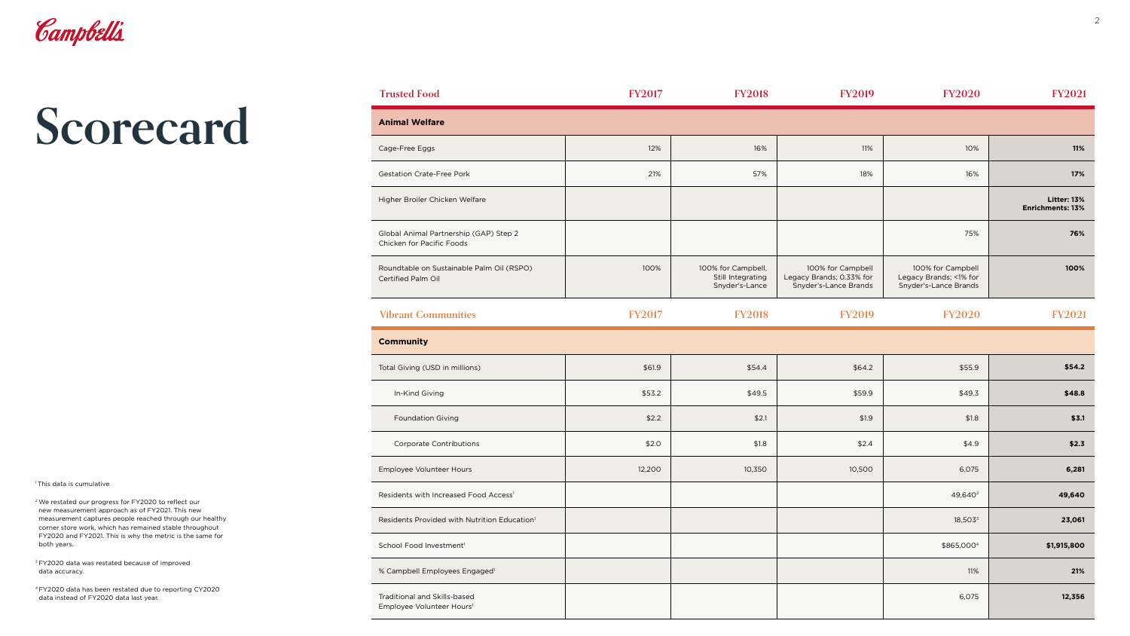| <b>Animal Welfare</b>                                                      |  |
|----------------------------------------------------------------------------|--|
| Cage-Free Eggs                                                             |  |
| <b>Gestation Crate-Free Pork</b>                                           |  |
| Higher Broiler Chicken Welfare                                             |  |
| Global Animal Partnership (GAP) Step 2<br><b>Chicken for Pacific Foods</b> |  |
| Roundtable on Sustainable Palm Oil (RSPO)<br><b>Certified Palm Oil</b>     |  |
| <b>Vibrant Communities</b>                                                 |  |
| <b>Community</b>                                                           |  |
| Total Giving (USD in millions)                                             |  |
| In-Kind Giving                                                             |  |
| <b>Foundation Giving</b>                                                   |  |
| <b>Corporate Contributions</b>                                             |  |
| Employee Volunteer Hours                                                   |  |
| Residents with Increased Food Access <sup>1</sup>                          |  |
| Residents Provided with Nutrition Education <sup>1</sup>                   |  |

| <b>Animal Welfare</b>                                                 |               |                                                           |                                                                        |                                                                      |                                               |
|-----------------------------------------------------------------------|---------------|-----------------------------------------------------------|------------------------------------------------------------------------|----------------------------------------------------------------------|-----------------------------------------------|
| Cage-Free Eggs                                                        | 12%           | 16%                                                       | 11%                                                                    | 10%                                                                  | 11%                                           |
| <b>Gestation Crate-Free Pork</b>                                      | 21%           | 57%                                                       | 18%                                                                    | 16%                                                                  | 17%                                           |
| Higher Broiler Chicken Welfare                                        |               |                                                           |                                                                        |                                                                      | <b>Litter: 13%</b><br><b>Enrichments: 13%</b> |
| Global Animal Partnership (GAP) Step 2<br>Chicken for Pacific Foods   |               |                                                           |                                                                        | 75%                                                                  | 76%                                           |
| Roundtable on Sustainable Palm Oil (RSPO)<br>Certified Palm Oil       | 100%          | 100% for Campbell,<br>Still Integrating<br>Snyder's-Lance | 100% for Campbell<br>Legacy Brands; 0.33% for<br>Snyder's-Lance Brands | 100% for Campbell<br>Legacy Brands; <1% for<br>Snyder's-Lance Brands | 100%                                          |
| <b>Vibrant Communities</b>                                            | <b>FY2017</b> | <b>FY2018</b>                                             | <b>FY2019</b>                                                          | <b>FY2020</b>                                                        | <b>FY2021</b>                                 |
| <b>Community</b>                                                      |               |                                                           |                                                                        |                                                                      |                                               |
| Total Giving (USD in millions)                                        | \$61.9        | \$54.4                                                    | \$64.2                                                                 | \$55.9                                                               | \$54.2                                        |
| In-Kind Giving                                                        | \$53.2        | \$49.5                                                    | \$59.9                                                                 | \$49.3                                                               | \$48.8                                        |
| <b>Foundation Giving</b>                                              | \$2.2         | \$2.1                                                     | \$1.9                                                                  | \$1.8                                                                | \$3.1                                         |
| <b>Corporate Contributions</b>                                        | \$2.0         | \$1.8                                                     | \$2.4                                                                  | \$4.9                                                                | \$2.3                                         |
| Employee Volunteer Hours                                              | 12,200        | 10,350                                                    | 10,500                                                                 | 6,075                                                                | 6,281                                         |
| Residents with Increased Food Access <sup>1</sup>                     |               |                                                           |                                                                        | 49,640 <sup>2</sup>                                                  | 49,640                                        |
| Residents Provided with Nutrition Education <sup>1</sup>              |               |                                                           |                                                                        | $18,503^3$                                                           | 23,061                                        |
| School Food Investment <sup>1</sup>                                   |               |                                                           |                                                                        | \$865,0004                                                           | \$1,915,800                                   |
| % Campbell Employees Engaged <sup>1</sup>                             |               |                                                           |                                                                        | 11%                                                                  | 21%                                           |
| Traditional and Skills-based<br>Employee Volunteer Hours <sup>1</sup> |               |                                                           |                                                                        | 6,075                                                                | 12,356                                        |
|                                                                       |               |                                                           |                                                                        |                                                                      |                                               |

**Trusted Food FY2017 FY2018 FY2019 FY2020 FY2021**

<sup>3</sup> FY2020 data was restated because of improved data accuracy.



# **Scorecard**

<sup>1</sup> This data is cumulative

2 We restated our progress for FY2020 to reflect our new measurement approach as of FY2021. This new measurement captures people reached through our healthy corner store work, which has remained stable throughout FY2020 and FY2021. This is why the metric is the same for both years.

4 FY2020 data has been restated due to reporting CY2020 data instead of FY2020 data last year.

| <b>Frusted Food</b> |  |
|---------------------|--|
|                     |  |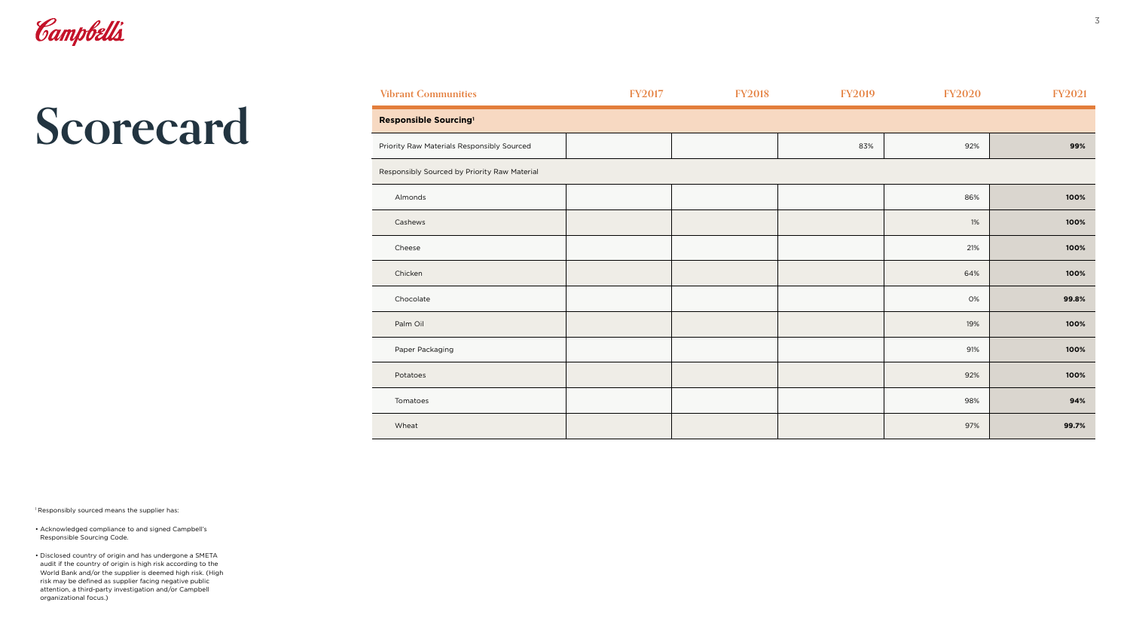

| F |
|---|
|   |
|   |
|   |
|   |
|   |
|   |
|   |
|   |
|   |
|   |
|   |
|   |
|   |
|   |

<sup>1</sup> Responsibly sourced means the supplier has:

| <b>Vibrant Communities</b>                   | <b>FY2017</b> | <b>FY2018</b> | <b>FY2019</b> | <b>FY2020</b> | <b>FY2021</b> |
|----------------------------------------------|---------------|---------------|---------------|---------------|---------------|
| Responsible Sourcing <sup>1</sup>            |               |               |               |               |               |
| Priority Raw Materials Responsibly Sourced   |               |               | 83%           | 92%           | 99%           |
| Responsibly Sourced by Priority Raw Material |               |               |               |               |               |
| Almonds                                      |               |               |               | 86%           | 100%          |
| Cashews                                      |               |               |               | 1%            | 100%          |
| Cheese                                       |               |               |               | 21%           | 100%          |
| Chicken                                      |               |               |               | 64%           | 100%          |
| Chocolate                                    |               |               |               | 0%            | 99.8%         |
| Palm Oil                                     |               |               |               | 19%           | 100%          |
| Paper Packaging                              |               |               |               | 91%           | 100%          |
| Potatoes                                     |               |               |               | 92%           | 100%          |
| Tomatoes                                     |               |               |               | 98%           | 94%           |
| Wheat                                        |               |               |               | 97%           | 99.7%         |

- Acknowledged compliance to and signed Campbell's Responsible Sourcing Code.
- Disclosed country of origin and has undergone a SMETA audit if the country of origin is high risk according to the World Bank and/or the supplier is deemed high risk. (High risk may be defined as supplier facing negative public attention, a third-party investigation and/or Campbell organizational focus.)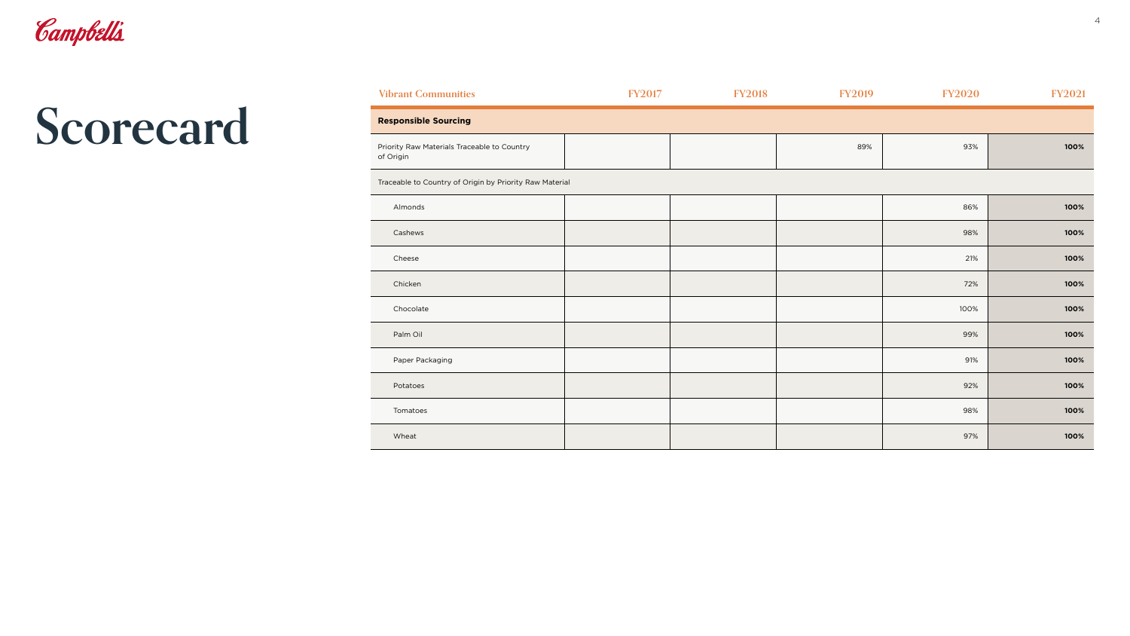| <b>Vibrant Communities</b>                               |  |
|----------------------------------------------------------|--|
| <b>Responsible Sourcing</b>                              |  |
| Priority Raw Materials Traceable to Country<br>of Origin |  |
| Traceable to Country of Origin by Priority Raw Material  |  |
| Almonds                                                  |  |
| Cashews                                                  |  |
| Cheese                                                   |  |
| Chicken                                                  |  |
| Chocolate                                                |  |
| Palm Oil                                                 |  |
| Paper Packaging                                          |  |
| Potatoes                                                 |  |
| Tomatoes                                                 |  |
| Wheat                                                    |  |

| <b>Vibrant Communities</b>                               | <b>FY2017</b> | <b>FY2018</b> | <b>FY2019</b> | <b>FY2020</b> | <b>FY2021</b> |
|----------------------------------------------------------|---------------|---------------|---------------|---------------|---------------|
| <b>Responsible Sourcing</b>                              |               |               |               |               |               |
| Priority Raw Materials Traceable to Country<br>of Origin |               |               | 89%           | 93%           | 100%          |
| Traceable to Country of Origin by Priority Raw Material  |               |               |               |               |               |
| Almonds                                                  |               |               |               | 86%           | 100%          |
| Cashews                                                  |               |               |               | 98%           | 100%          |
| Cheese                                                   |               |               |               | 21%           | 100%          |
| Chicken                                                  |               |               |               | 72%           | 100%          |
| Chocolate                                                |               |               |               | 100%          | 100%          |
| Palm Oil                                                 |               |               |               | 99%           | 100%          |
| Paper Packaging                                          |               |               |               | 91%           | 100%          |
| Potatoes                                                 |               |               |               | 92%           | 100%          |
| Tomatoes                                                 |               |               |               | 98%           | 100%          |
| Wheat                                                    |               |               |               | 97%           | 100%          |

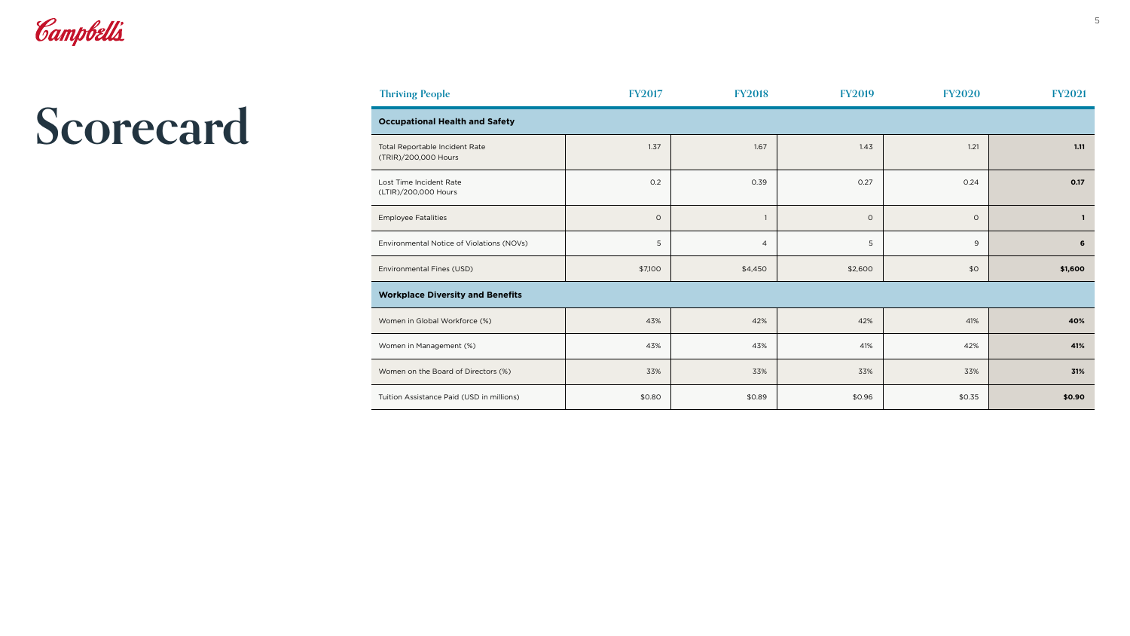| <b>Occupational Health and Safety</b>                  |         |                |         |         |              |  |
|--------------------------------------------------------|---------|----------------|---------|---------|--------------|--|
| Total Reportable Incident Rate<br>(TRIR)/200,000 Hours | 1.37    | 1.67           | 1.43    | 1.21    | 1.11         |  |
| Lost Time Incident Rate<br>(LTIR)/200,000 Hours        | 0.2     | 0.39           | 0.27    | 0.24    | 0.17         |  |
| <b>Employee Fatalities</b>                             | $\circ$ |                | $\circ$ | $\circ$ | $\mathbf{1}$ |  |
| Environmental Notice of Violations (NOVs)              | 5       | $\overline{4}$ | 5       | $9\,$   | $\bf 6$      |  |
| Environmental Fines (USD)                              | \$7,100 | \$4,450        | \$2,600 | \$0     | \$1,600      |  |
| <b>Workplace Diversity and Benefits</b>                |         |                |         |         |              |  |
| Women in Global Workforce (%)                          | 43%     | 42%            | 42%     | 41%     | 40%          |  |
| Women in Management (%)                                | 43%     | 43%            | 41%     | 42%     | 41%          |  |
| Women on the Board of Directors (%)                    | 33%     | 33%            | 33%     | 33%     | 31%          |  |
| Tuition Assistance Paid (USD in millions)              | \$0.80  | \$0.89         | \$0.96  | \$0.35  | \$0.90       |  |

| <b>Thriving People</b>                                  | <b>FY2017</b>              | <b>FY2018</b>  | <b>FY2019</b>                     | <b>FY2020</b> | <b>FY2021</b>               |
|---------------------------------------------------------|----------------------------|----------------|-----------------------------------|---------------|-----------------------------|
| <b>Occupational Health and Safety</b>                   |                            |                |                                   |               |                             |
| Total Reportable Incident Rate<br>(TRIR)/200,000 Hours  | 1.37                       | 1.67           | 1.43                              | 1.21          | 1.11                        |
| Lost Time Incident Rate<br>(LTIR)/200,000 Hours         | 0.2                        | 0.39           | 0.27                              | 0.24          | 0.17                        |
| <b>Employee Fatalities</b>                              | $\circ$                    |                | $\circ$                           | $\mathsf O$   | $\mathbf{1}$                |
| Environmental Notice of Violations (NOVs)               | 5                          | $\overline{a}$ | 5                                 | 9             | 6                           |
| Environmental Fines (USD)                               | \$7,100                    | \$4,450        | \$2,600                           | \$0           | \$1,600                     |
| <b>Workplace Diversity and Benefits</b>                 |                            |                |                                   |               |                             |
| Women in Global Workforce (%)                           | 43%                        | 42%            | 42%                               | 41%           | 40%                         |
| Women in Management (%)                                 | 43%                        | 43%            | 41%                               | 42%           | 41%                         |
| Women on the Board of Directors (%)                     | 33%                        | 33%            | 33%                               | 33%           | 31%                         |
| $T_{\text{tr}}$ itian Assistance Deid (UCD in milliona) | $\uparrow$ $\land$ $\land$ | 0.00           | $\uparrow \wedge \uparrow \wedge$ | $A \cap Z$    | $\bullet \land \land \land$ |



| <b>Thriving People</b> |  |
|------------------------|--|
|                        |  |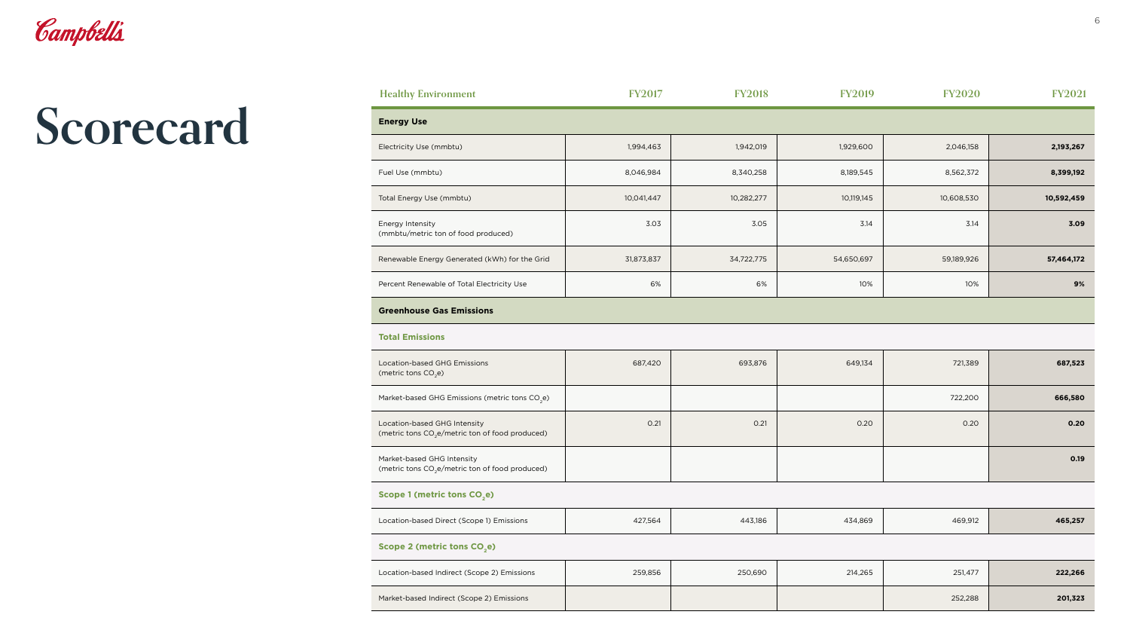## **Energy Use**

| Location-based GHG Emissions<br>(metric tons $CO2e$ )                                       |  |
|---------------------------------------------------------------------------------------------|--|
| Market-based GHG Emissions (metric tons CO <sub>2</sub> e)                                  |  |
| Location-based GHG Intensity<br>(metric tons CO <sub>2</sub> e/metric ton of food produced) |  |
| Market-based GHG Intensity<br>(metric tons CO <sub>2</sub> e/metric ton of food produced)   |  |

## **Scope 1 (metric tons CO<sub>2</sub>e)**

| Location-based Direct (Scope 1) Emissions |  |
|-------------------------------------------|--|
| Scope 2 (metric tons CO <sub>2</sub> e)   |  |
|                                           |  |

| Location-based Indirect (Scope 2) Emissions |  |
|---------------------------------------------|--|
| Market-based Indirect (Scope 2) Emissions   |  |

| <b>Healthy Environment</b>                              | <b>FY2017</b> | <b>FY2018</b> | <b>FY2019</b> | <b>FY2020</b> | <b>FY2021</b> |
|---------------------------------------------------------|---------------|---------------|---------------|---------------|---------------|
| <b>Energy Use</b>                                       |               |               |               |               |               |
| Electricity Use (mmbtu)                                 | 1,994,463     | 1,942,019     | 1,929,600     | 2,046,158     | 2,193,267     |
| Fuel Use (mmbtu)                                        | 8,046,984     | 8,340,258     | 8,189,545     | 8,562,372     | 8,399,192     |
| Total Energy Use (mmbtu)                                | 10,041,447    | 10,282,277    | 10,119,145    | 10,608,530    | 10,592,459    |
| Energy Intensity<br>(mmbtu/metric ton of food produced) | 3.03          | 3.05          | 3.14          | 3.14          | 3.09          |
| Renewable Energy Generated (kWh) for the Grid           | 31,873,837    | 34,722,775    | 54,650,697    | 59,189,926    | 57,464,172    |
| Percent Renewable of Total Electricity Use              | 6%            | 6%            | 10%           | 10%           | 9%            |
| <b>Greenhouse Gas Emissions</b>                         |               |               |               |               |               |

| Electricity Use (mmbtu)                                 | 1, 9 |
|---------------------------------------------------------|------|
| Fuel Use (mmbtu)                                        | 8.C  |
| Total Energy Use (mmbtu)                                | 10,  |
| Energy Intensity<br>(mmbtu/metric ton of food produced) |      |
| Renewable Energy Generated (kWh) for the Grid           | 31,8 |
| Percent Renewable of Total Electricity Use              |      |
|                                                         |      |

## **Greenhouse Gas Emissions**

## **Total Emissions**

| Location-based GHG Emissions<br>(metric tons CO <sub>2</sub> e)                             | 687,420 | 693,876 | 649,134 | 721,389 | 687,523 |
|---------------------------------------------------------------------------------------------|---------|---------|---------|---------|---------|
| Market-based GHG Emissions (metric tons CO <sub>2</sub> e)                                  |         |         |         | 722,200 | 666,580 |
| Location-based GHG Intensity<br>(metric tons CO <sub>2</sub> e/metric ton of food produced) | 0.21    | 0.21    | 0.20    | 0.20    | 0.20    |
| Market-based GHG Intensity<br>(metric tons CO <sub>2</sub> e/metric ton of food produced)   |         |         |         |         | 0.19    |

| Location-based Direct (Scope 1) Emissions   | 427,564 | 443,186 | 434,869 | 469,912 | 465,257 |  |
|---------------------------------------------|---------|---------|---------|---------|---------|--|
| Scope 2 (metric tons CO <sub>2</sub> e)     |         |         |         |         |         |  |
| Location-based Indirect (Scope 2) Emissions | 259,856 | 250,690 | 214,265 | 251,477 | 222,266 |  |
| Market-based Indirect (Scope 2) Emissions   |         |         |         | 252,288 | 201,323 |  |



# **Scorecard**

## **Healthy Environment FY**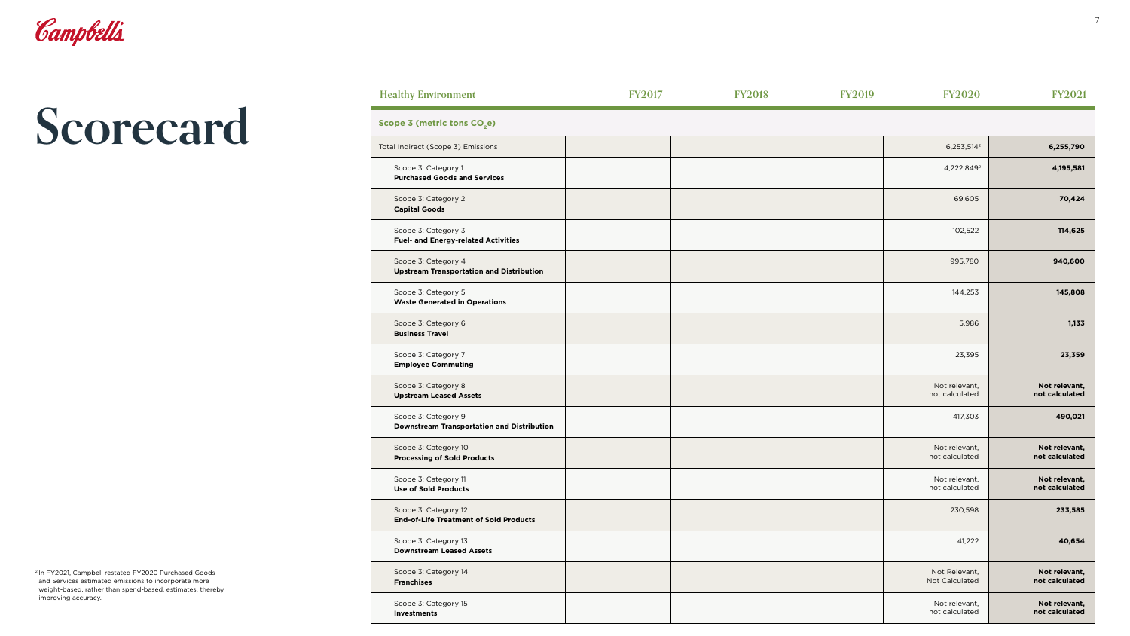| tal Indirect (Scope 3) Emissions                                         |  |
|--------------------------------------------------------------------------|--|
| Scope 3: Category 1<br><b>Purchased Goods and Services</b>               |  |
| Scope 3: Category 2<br><b>Capital Goods</b>                              |  |
| Scope 3: Category 3<br><b>Fuel- and Energy-related Activities</b>        |  |
| Scope 3: Category 4<br><b>Upstream Transportation and Distribution</b>   |  |
| Scope 3: Category 5<br><b>Waste Generated in Operations</b>              |  |
| Scope 3: Category 6<br><b>Business Travel</b>                            |  |
| Scope 3: Category 7<br><b>Employee Commuting</b>                         |  |
| Scope 3: Category 8<br><b>Upstream Leased Assets</b>                     |  |
| Scope 3: Category 9<br><b>Downstream Transportation and Distribution</b> |  |
| Scope 3: Category 10<br><b>Processing of Sold Products</b>               |  |
| Scope 3: Category 11<br><b>Use of Sold Products</b>                      |  |
| Scope 3: Category 12<br><b>End-of-Life Treatment of Sold Products</b>    |  |
| Scope 3: Category 13<br><b>Downstream Leased Assets</b>                  |  |
| Scope 3: Category 14<br><b>Franchises</b>                                |  |
| Scope 3: Category 15<br><b>Investments</b>                               |  |

| <b>Healthy Environment</b>                                               | <b>FY2017</b> | <b>FY2018</b> | <b>FY2019</b> | <b>FY2020</b>                   | <b>FY2021</b>                   |
|--------------------------------------------------------------------------|---------------|---------------|---------------|---------------------------------|---------------------------------|
| Scope 3 (metric tons CO <sub>2</sub> e)                                  |               |               |               |                                 |                                 |
| Total Indirect (Scope 3) Emissions                                       |               |               |               | 6,253,514 <sup>2</sup>          | 6,255,790                       |
| Scope 3: Category 1<br><b>Purchased Goods and Services</b>               |               |               |               | 4,222,849 <sup>2</sup>          | 4,195,581                       |
| Scope 3: Category 2<br><b>Capital Goods</b>                              |               |               |               | 69,605                          | 70,424                          |
| Scope 3: Category 3<br><b>Fuel- and Energy-related Activities</b>        |               |               |               | 102,522                         | 114,625                         |
| Scope 3: Category 4<br><b>Upstream Transportation and Distribution</b>   |               |               |               | 995,780                         | 940,600                         |
| Scope 3: Category 5<br><b>Waste Generated in Operations</b>              |               |               |               | 144,253                         | 145,808                         |
| Scope 3: Category 6<br><b>Business Travel</b>                            |               |               |               | 5,986                           | 1,133                           |
| Scope 3: Category 7<br><b>Employee Commuting</b>                         |               |               |               | 23,395                          | 23,359                          |
| Scope 3: Category 8<br><b>Upstream Leased Assets</b>                     |               |               |               | Not relevant,<br>not calculated | Not relevant,<br>not calculated |
| Scope 3: Category 9<br><b>Downstream Transportation and Distribution</b> |               |               |               | 417,303                         | 490,021                         |
| Scope 3: Category 10<br><b>Processing of Sold Products</b>               |               |               |               | Not relevant,<br>not calculated | Not relevant,<br>not calculated |
| Scope 3: Category 11<br><b>Use of Sold Products</b>                      |               |               |               | Not relevant,<br>not calculated | Not relevant,<br>not calculated |
| Scope 3: Category 12<br><b>End-of-Life Treatment of Sold Products</b>    |               |               |               | 230,598                         | 233,585                         |
| Scope 3: Category 13<br><b>Downstream Leased Assets</b>                  |               |               |               | 41,222                          | 40,654                          |
| Scope 3: Category 14<br><b>Franchises</b>                                |               |               |               | Not Relevant,<br>Not Calculated | Not relevant,<br>not calculated |
| Scope 3: Category 15<br><b>Investments</b>                               |               |               |               | Not relevant,<br>not calculated | Not relevant,<br>not calculated |



## **Scope 3 (metric tons CO<sub>2</sub>e)**

2 In FY2021, Campbell restated FY2020 Purchased Goods and Services estimated emissions to incorporate more weight-based, rather than spend-based, estimates, thereby improving accuracy.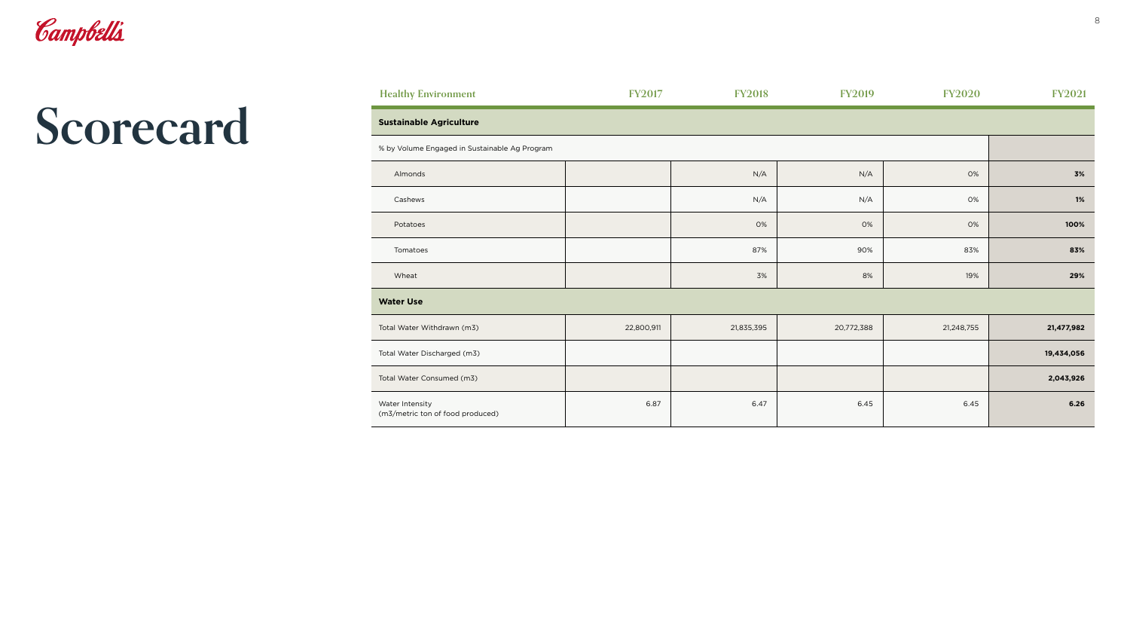## **Sustainable Agriculture**

| <b>Healthy Environment</b>                          | <b>FY2017</b> | <b>FY2018</b> | <b>FY2019</b> | <b>FY2020</b> | <b>FY2021</b> |
|-----------------------------------------------------|---------------|---------------|---------------|---------------|---------------|
| <b>Sustainable Agriculture</b>                      |               |               |               |               |               |
| % by Volume Engaged in Sustainable Ag Program       |               |               |               |               |               |
| Almonds                                             |               | N/A           | N/A           | 0%            | 3%            |
| Cashews                                             |               | N/A           | N/A           | 0%            | 1%            |
| Potatoes                                            |               | 0%            | 0%            | 0%            | 100%          |
| Tomatoes                                            |               | 87%           | 90%           | 83%           | 83%           |
| Wheat                                               |               | 3%            | 8%            | 19%           | 29%           |
| <b>Water Use</b>                                    |               |               |               |               |               |
| Total Water Withdrawn (m3)                          | 22,800,911    | 21,835,395    | 20,772,388    | 21,248,755    | 21,477,982    |
| Total Water Discharged (m3)                         |               |               |               |               | 19,434,056    |
| Total Water Consumed (m3)                           |               |               |               |               | 2,043,926     |
| Water Intensity<br>(m3/metric ton of food produced) | 6.87          | 6.47          | 6.45          | 6.45          | 6.26          |

| Almonds                                             |    |
|-----------------------------------------------------|----|
| Cashews                                             |    |
| Potatoes                                            |    |
| Tomatoes                                            |    |
| Wheat                                               |    |
| <b>Water Use</b>                                    |    |
| Total Water Withdrawn (m3)                          | 22 |
| Total Water Discharged (m3)                         |    |
| Total Water Consumed (m3)                           |    |
| Water Intensity<br>(m3/metric ton of food produced) |    |



# **Scorecard**

## **FIEALTY ENVIRONMENT ENGINEERING**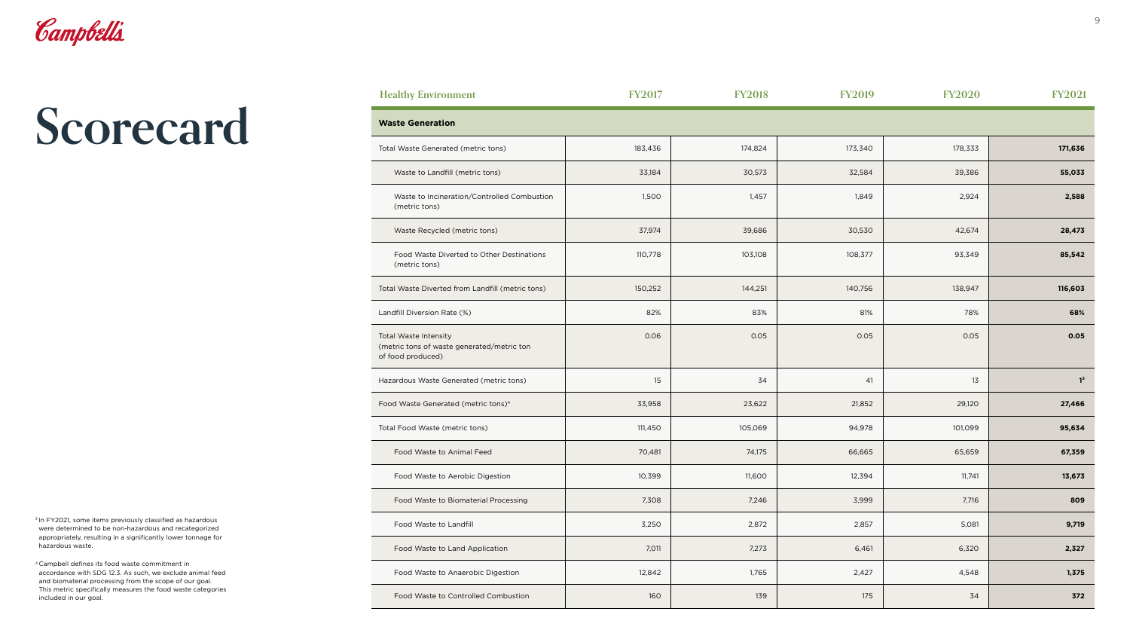| <b>Waste Generation</b>                                                                         |  |
|-------------------------------------------------------------------------------------------------|--|
| Total Waste Generated (metric tons)                                                             |  |
| Waste to Landfill (metric tons)                                                                 |  |
| Waste to Incineration/Controlled Combustion<br>(metric tons)                                    |  |
| Waste Recycled (metric tons)                                                                    |  |
| Food Waste Diverted to Other Destinations<br>(metric tons)                                      |  |
| Total Waste Diverted from Landfill (metric tons)                                                |  |
| Landfill Diversion Rate (%)                                                                     |  |
| <b>Total Waste Intensity</b><br>(metric tons of waste generated/metric ton<br>of food produced) |  |
| Hazardous Waste Generated (metric tons)                                                         |  |
| Food Waste Generated (metric tons) <sup>4</sup>                                                 |  |
| Total Food Waste (metric tons)                                                                  |  |
| Food Waste to Animal Feed                                                                       |  |
| Food Waste to Aerobic Digestion                                                                 |  |
| <b>Food Waste to Biomaterial Processing</b>                                                     |  |
| Food Waste to Landfill                                                                          |  |
| Food Waste to Land Application                                                                  |  |
| Food Waste to Anaerobic Digestion                                                               |  |
| Food Waste to Controlled Combustion                                                             |  |

| <b>Healthy Environment</b>                                                                      | <b>FY2017</b> | <b>FY2018</b> | <b>FY2019</b> | <b>FY2020</b> | <b>FY2021</b> |
|-------------------------------------------------------------------------------------------------|---------------|---------------|---------------|---------------|---------------|
| <b>Waste Generation</b>                                                                         |               |               |               |               |               |
| Total Waste Generated (metric tons)                                                             | 183,436       | 174,824       | 173,340       | 178,333       | 171,636       |
| Waste to Landfill (metric tons)                                                                 | 33,184        | 30,573        | 32,584        | 39,386        | 55,033        |
| Waste to Incineration/Controlled Combustion<br>(metric tons)                                    | 1,500         | 1,457         | 1,849         | 2,924         | 2,588         |
| Waste Recycled (metric tons)                                                                    | 37,974        | 39,686        | 30,530        | 42,674        | 28,473        |
| Food Waste Diverted to Other Destinations<br>(metric tons)                                      | 110,778       | 103,108       | 108,377       | 93,349        | 85,542        |
| Total Waste Diverted from Landfill (metric tons)                                                | 150,252       | 144,251       | 140,756       | 138,947       | 116,603       |
| Landfill Diversion Rate (%)                                                                     | 82%           | 83%           | 81%           | 78%           | 68%           |
| <b>Total Waste Intensity</b><br>(metric tons of waste generated/metric ton<br>of food produced) | 0.06          | 0.05          | 0.05          | 0.05          | 0.05          |
| Hazardous Waste Generated (metric tons)                                                         | 15            | 34            | 41            | 13            | $1^3$         |
| Food Waste Generated (metric tons) <sup>4</sup>                                                 | 33,958        | 23,622        | 21,852        | 29,120        | 27,466        |
| Total Food Waste (metric tons)                                                                  | 111,450       | 105,069       | 94,978        | 101,099       | 95,634        |
| Food Waste to Animal Feed                                                                       | 70,481        | 74,175        | 66,665        | 65,659        | 67,359        |
| Food Waste to Aerobic Digestion                                                                 | 10,399        | 11,600        | 12,394        | 11,741        | 13,673        |
| Food Waste to Biomaterial Processing                                                            | 7,308         | 7,246         | 3,999         | 7,716         | 809           |
| Food Waste to Landfill                                                                          | 3,250         | 2,872         | 2,857         | 5,081         | 9,719         |
| Food Waste to Land Application                                                                  | 7,011         | 7,273         | 6,461         | 6,320         | 2,327         |
| Food Waste to Anaerobic Digestion                                                               | 12,842        | 1,765         | 2,427         | 4,548         | 1,375         |
| Food Waste to Controlled Combustion                                                             | 160           | 139           | 175           | 34            | 372           |

<sup>3</sup> In FY2021, some items previously classified as hazardous were determined to be non-hazardous and recategorized appropriately, resulting in a significantly lower tonnage for hazardous waste.



# **Scorecard**

4 Campbell defines its food waste commitment in accordance with SDG 12.3. As such, we exclude animal feed and biomaterial processing from the scope of our goal. This metric specifically measures the food waste categories included in our goal.

|  | <b>Healthy Environment</b> |  |
|--|----------------------------|--|
|--|----------------------------|--|